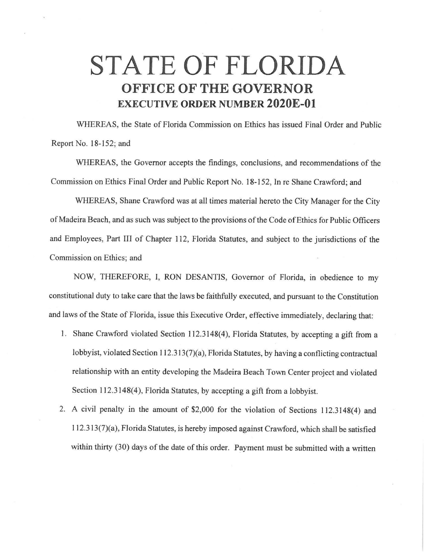## **STATE OF FLORIDA OFFICE OF THE GOVERNOR EXECUTIVE ORDER NUMBER 2020E-01**

WHEREAS, the State of Florida Commission on Ethics has issued Final Order and Public Report No. 18-152; and

WHEREAS, the Governor accepts the findings, conclusions, and recommendations of the Commission on Ethics Final Order and Public Report No. 18-152, In re Shane Crawford; and

WHEREAS, Shane Crawford was at all times material hereto the City Manager for the City of Madeira Beach, and as such was subject to the provisions of the Code of Ethics for Public Officers and Employees, Part III of Chapter 112, Florida Statutes, and subject to the jurisdictions of the Commission on Ethics; and

NOW, THEREFORE, I, RON DESANTIS, Governor of Florida, in obedience to my constitutional duty to take care that the laws be faithfully executed, and pursuant to the Constitution and laws of the State of Florida, issue this Executive Order, effective immediately, declaring that:

- 1. Shane Crawford violated Section 112.3148(4), Florida Statutes, by accepting a gift from a lobbyist, violated Section 112.313(7)(a), Florida Statutes, by having a conflicting contractual relationship with an entity developing the Madeira Beach Town Center project and violated Section 112.3148(4), Florida Statutes, by accepting a gift from a lobbyist.
- 2. A civil penalty in the amount of \$2,000 for the violation of Sections 112.3148(4) and I I 2.3 I 3(7)(a), Florida Statutes, is hereby imposed against Crawford, which shall be satisfied within thirty (30) days of the date of this order. Payment must be submitted with a written